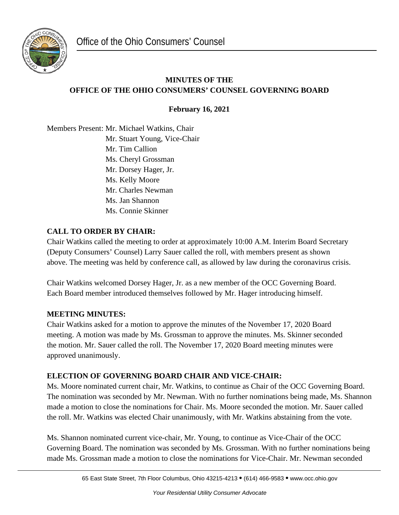

# **MINUTES OF THE OFFICE OF THE OHIO CONSUMERS' COUNSEL GOVERNING BOARD**

**February 16, 2021**

Members Present: Mr. Michael Watkins, Chair Mr. Stuart Young, Vice-Chair Mr. Tim Callion Ms. Cheryl Grossman Mr. Dorsey Hager, Jr. Ms. Kelly Moore Mr. Charles Newman Ms. Jan Shannon Ms. Connie Skinner

### **CALL TO ORDER BY CHAIR:**

Chair Watkins called the meeting to order at approximately 10:00 A.M. Interim Board Secretary (Deputy Consumers' Counsel) Larry Sauer called the roll, with members present as shown above. The meeting was held by conference call, as allowed by law during the coronavirus crisis.

Chair Watkins welcomed Dorsey Hager, Jr. as a new member of the OCC Governing Board. Each Board member introduced themselves followed by Mr. Hager introducing himself.

### **MEETING MINUTES:**

Chair Watkins asked for a motion to approve the minutes of the November 17, 2020 Board meeting. A motion was made by Ms. Grossman to approve the minutes. Ms. Skinner seconded the motion. Mr. Sauer called the roll. The November 17, 2020 Board meeting minutes were approved unanimously.

### **ELECTION OF GOVERNING BOARD CHAIR AND VICE-CHAIR:**

Ms. Moore nominated current chair, Mr. Watkins, to continue as Chair of the OCC Governing Board. The nomination was seconded by Mr. Newman. With no further nominations being made, Ms. Shannon made a motion to close the nominations for Chair. Ms. Moore seconded the motion. Mr. Sauer called the roll. Mr. Watkins was elected Chair unanimously, with Mr. Watkins abstaining from the vote.

Ms. Shannon nominated current vice-chair, Mr. Young, to continue as Vice-Chair of the OCC Governing Board. The nomination was seconded by Ms. Grossman. With no further nominations being made Ms. Grossman made a motion to close the nominations for Vice-Chair. Mr. Newman seconded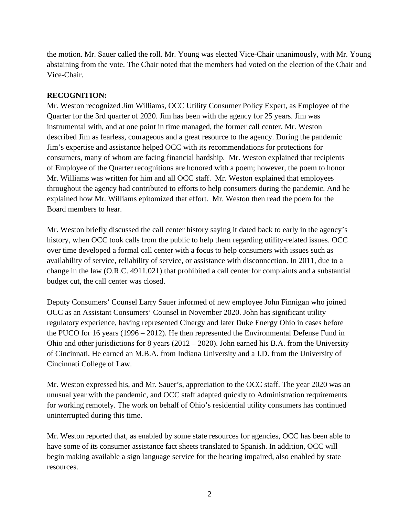the motion. Mr. Sauer called the roll. Mr. Young was elected Vice-Chair unanimously, with Mr. Young abstaining from the vote. The Chair noted that the members had voted on the election of the Chair and Vice-Chair.

#### **RECOGNITION:**

Mr. Weston recognized Jim Williams, OCC Utility Consumer Policy Expert, as Employee of the Quarter for the 3rd quarter of 2020. Jim has been with the agency for 25 years. Jim was instrumental with, and at one point in time managed, the former call center. Mr. Weston described Jim as fearless, courageous and a great resource to the agency. During the pandemic Jim's expertise and assistance helped OCC with its recommendations for protections for consumers, many of whom are facing financial hardship. Mr. Weston explained that recipients of Employee of the Quarter recognitions are honored with a poem; however, the poem to honor Mr. Williams was written for him and all OCC staff. Mr. Weston explained that employees throughout the agency had contributed to efforts to help consumers during the pandemic. And he explained how Mr. Williams epitomized that effort. Mr. Weston then read the poem for the Board members to hear.

Mr. Weston briefly discussed the call center history saying it dated back to early in the agency's history, when OCC took calls from the public to help them regarding utility-related issues. OCC over time developed a formal call center with a focus to help consumers with issues such as availability of service, reliability of service, or assistance with disconnection. In 2011, due to a change in the law (O.R.C. 4911.021) that prohibited a call center for complaints and a substantial budget cut, the call center was closed.

Deputy Consumers' Counsel Larry Sauer informed of new employee John Finnigan who joined OCC as an Assistant Consumers' Counsel in November 2020. John has significant utility regulatory experience, having represented Cinergy and later Duke Energy Ohio in cases before the PUCO for 16 years (1996 – 2012). He then represented the Environmental Defense Fund in Ohio and other jurisdictions for 8 years (2012 – 2020). John earned his B.A. from the University of Cincinnati. He earned an M.B.A. from Indiana University and a J.D. from the University of Cincinnati College of Law.

Mr. Weston expressed his, and Mr. Sauer's, appreciation to the OCC staff. The year 2020 was an unusual year with the pandemic, and OCC staff adapted quickly to Administration requirements for working remotely. The work on behalf of Ohio's residential utility consumers has continued uninterrupted during this time.

Mr. Weston reported that, as enabled by some state resources for agencies, OCC has been able to have some of its consumer assistance fact sheets translated to Spanish. In addition, OCC will begin making available a sign language service for the hearing impaired, also enabled by state resources.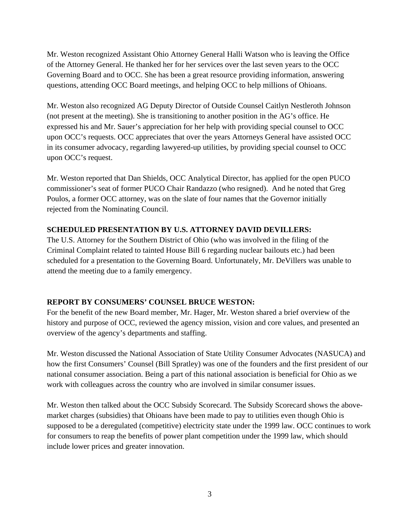Mr. Weston recognized Assistant Ohio Attorney General Halli Watson who is leaving the Office of the Attorney General. He thanked her for her services over the last seven years to the OCC Governing Board and to OCC. She has been a great resource providing information, answering questions, attending OCC Board meetings, and helping OCC to help millions of Ohioans.

Mr. Weston also recognized AG Deputy Director of Outside Counsel Caitlyn Nestleroth Johnson (not present at the meeting). She is transitioning to another position in the AG's office. He expressed his and Mr. Sauer's appreciation for her help with providing special counsel to OCC upon OCC's requests. OCC appreciates that over the years Attorneys General have assisted OCC in its consumer advocacy, regarding lawyered-up utilities, by providing special counsel to OCC upon OCC's request.

Mr. Weston reported that Dan Shields, OCC Analytical Director, has applied for the open PUCO commissioner's seat of former PUCO Chair Randazzo (who resigned). And he noted that Greg Poulos, a former OCC attorney, was on the slate of four names that the Governor initially rejected from the Nominating Council.

#### **SCHEDULED PRESENTATION BY U.S. ATTORNEY DAVID DEVILLERS:**

The U.S. Attorney for the Southern District of Ohio (who was involved in the filing of the Criminal Complaint related to tainted House Bill 6 regarding nuclear bailouts etc.) had been scheduled for a presentation to the Governing Board. Unfortunately, Mr. DeVillers was unable to attend the meeting due to a family emergency.

#### **REPORT BY CONSUMERS' COUNSEL BRUCE WESTON:**

For the benefit of the new Board member, Mr. Hager, Mr. Weston shared a brief overview of the history and purpose of OCC, reviewed the agency mission, vision and core values, and presented an overview of the agency's departments and staffing.

Mr. Weston discussed the National Association of State Utility Consumer Advocates (NASUCA) and how the first Consumers' Counsel (Bill Spratley) was one of the founders and the first president of our national consumer association. Being a part of this national association is beneficial for Ohio as we work with colleagues across the country who are involved in similar consumer issues.

Mr. Weston then talked about the OCC Subsidy Scorecard. The Subsidy Scorecard shows the abovemarket charges (subsidies) that Ohioans have been made to pay to utilities even though Ohio is supposed to be a deregulated (competitive) electricity state under the 1999 law. OCC continues to work for consumers to reap the benefits of power plant competition under the 1999 law, which should include lower prices and greater innovation.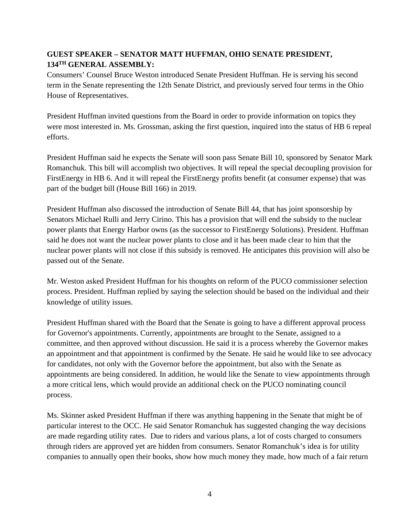## **GUEST SPEAKER – SENATOR MATT HUFFMAN, OHIO SENATE PRESIDENT, 134TH GENERAL ASSEMBLY:**

Consumers' Counsel Bruce Weston introduced Senate President Huffman. He is serving his second term in the Senate representing the 12th Senate District, and previously served four terms in the Ohio House of Representatives.

President Huffman invited questions from the Board in order to provide information on topics they were most interested in. Ms. Grossman, asking the first question, inquired into the status of HB 6 repeal efforts.

President Huffman said he expects the Senate will soon pass Senate Bill 10, sponsored by Senator Mark Romanchuk. This bill will accomplish two objectives. It will repeal the special decoupling provision for FirstEnergy in HB 6. And it will repeal the FirstEnergy profits benefit (at consumer expense) that was part of the budget bill (House Bill 166) in 2019.

President Huffman also discussed the introduction of Senate Bill 44, that has joint sponsorship by Senators Michael Rulli and Jerry Cirino. This has a provision that will end the subsidy to the nuclear power plants that Energy Harbor owns (as the successor to FirstEnergy Solutions). President. Huffman said he does not want the nuclear power plants to close and it has been made clear to him that the nuclear power plants will not close if this subsidy is removed. He anticipates this provision will also be passed out of the Senate.

Mr. Weston asked President Huffman for his thoughts on reform of the PUCO commissioner selection process. President. Huffman replied by saying the selection should be based on the individual and their knowledge of utility issues.

President Huffman shared with the Board that the Senate is going to have a different approval process for Governor's appointments. Currently, appointments are brought to the Senate, assigned to a committee, and then approved without discussion. He said it is a process whereby the Governor makes an appointment and that appointment is confirmed by the Senate. He said he would like to see advocacy for candidates, not only with the Governor before the appointment, but also with the Senate as appointments are being considered. In addition, he would like the Senate to view appointments through a more critical lens, which would provide an additional check on the PUCO nominating council process.

Ms. Skinner asked President Huffman if there was anything happening in the Senate that might be of particular interest to the OCC. He said Senator Romanchuk has suggested changing the way decisions are made regarding utility rates. Due to riders and various plans, a lot of costs charged to consumers through riders are approved yet are hidden from consumers. Senator Romanchuk's idea is for utility companies to annually open their books, show how much money they made, how much of a fair return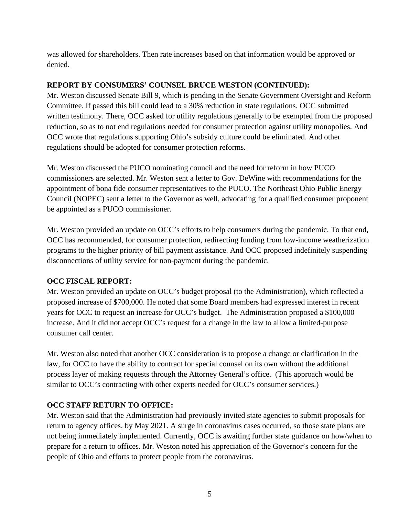was allowed for shareholders. Then rate increases based on that information would be approved or denied.

#### **REPORT BY CONSUMERS' COUNSEL BRUCE WESTON (CONTINUED):**

Mr. Weston discussed Senate Bill 9, which is pending in the Senate Government Oversight and Reform Committee. If passed this bill could lead to a 30% reduction in state regulations. OCC submitted written testimony. There, OCC asked for utility regulations generally to be exempted from the proposed reduction, so as to not end regulations needed for consumer protection against utility monopolies. And OCC wrote that regulations supporting Ohio's subsidy culture could be eliminated. And other regulations should be adopted for consumer protection reforms.

Mr. Weston discussed the PUCO nominating council and the need for reform in how PUCO commissioners are selected. Mr. Weston sent a letter to Gov. DeWine with recommendations for the appointment of bona fide consumer representatives to the PUCO. The Northeast Ohio Public Energy Council (NOPEC) sent a letter to the Governor as well, advocating for a qualified consumer proponent be appointed as a PUCO commissioner.

Mr. Weston provided an update on OCC's efforts to help consumers during the pandemic. To that end, OCC has recommended, for consumer protection, redirecting funding from low-income weatherization programs to the higher priority of bill payment assistance. And OCC proposed indefinitely suspending disconnections of utility service for non-payment during the pandemic.

#### **OCC FISCAL REPORT:**

Mr. Weston provided an update on OCC's budget proposal (to the Administration), which reflected a proposed increase of \$700,000. He noted that some Board members had expressed interest in recent years for OCC to request an increase for OCC's budget. The Administration proposed a \$100,000 increase. And it did not accept OCC's request for a change in the law to allow a limited-purpose consumer call center.

Mr. Weston also noted that another OCC consideration is to propose a change or clarification in the law, for OCC to have the ability to contract for special counsel on its own without the additional process layer of making requests through the Attorney General's office. (This approach would be similar to OCC's contracting with other experts needed for OCC's consumer services.)

#### **OCC STAFF RETURN TO OFFICE:**

Mr. Weston said that the Administration had previously invited state agencies to submit proposals for return to agency offices, by May 2021. A surge in coronavirus cases occurred, so those state plans are not being immediately implemented. Currently, OCC is awaiting further state guidance on how/when to prepare for a return to offices. Mr. Weston noted his appreciation of the Governor's concern for the people of Ohio and efforts to protect people from the coronavirus.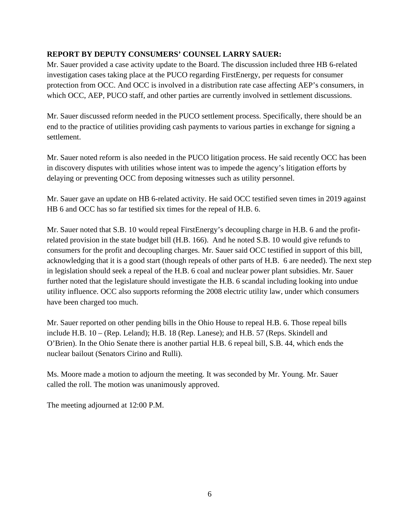### **REPORT BY DEPUTY CONSUMERS' COUNSEL LARRY SAUER:**

Mr. Sauer provided a case activity update to the Board. The discussion included three HB 6-related investigation cases taking place at the PUCO regarding FirstEnergy, per requests for consumer protection from OCC. And OCC is involved in a distribution rate case affecting AEP's consumers, in which OCC, AEP, PUCO staff, and other parties are currently involved in settlement discussions.

Mr. Sauer discussed reform needed in the PUCO settlement process. Specifically, there should be an end to the practice of utilities providing cash payments to various parties in exchange for signing a settlement.

Mr. Sauer noted reform is also needed in the PUCO litigation process. He said recently OCC has been in discovery disputes with utilities whose intent was to impede the agency's litigation efforts by delaying or preventing OCC from deposing witnesses such as utility personnel.

Mr. Sauer gave an update on HB 6-related activity. He said OCC testified seven times in 2019 against HB 6 and OCC has so far testified six times for the repeal of H.B. 6.

Mr. Sauer noted that S.B. 10 would repeal FirstEnergy's decoupling charge in H.B. 6 and the profitrelated provision in the state budget bill (H.B. 166). And he noted S.B. 10 would give refunds to consumers for the profit and decoupling charges. Mr. Sauer said OCC testified in support of this bill, acknowledging that it is a good start (though repeals of other parts of H.B. 6 are needed). The next step in legislation should seek a repeal of the H.B. 6 coal and nuclear power plant subsidies. Mr. Sauer further noted that the legislature should investigate the H.B. 6 scandal including looking into undue utility influence. OCC also supports reforming the 2008 electric utility law, under which consumers have been charged too much.

Mr. Sauer reported on other pending bills in the Ohio House to repeal H.B. 6. Those repeal bills include H.B. 10 – (Rep. Leland); H.B. 18 (Rep. Lanese); and H.B. 57 (Reps. Skindell and O'Brien). In the Ohio Senate there is another partial H.B. 6 repeal bill, S.B. 44, which ends the nuclear bailout (Senators Cirino and Rulli).

Ms. Moore made a motion to adjourn the meeting. It was seconded by Mr. Young. Mr. Sauer called the roll. The motion was unanimously approved.

The meeting adjourned at 12:00 P.M.